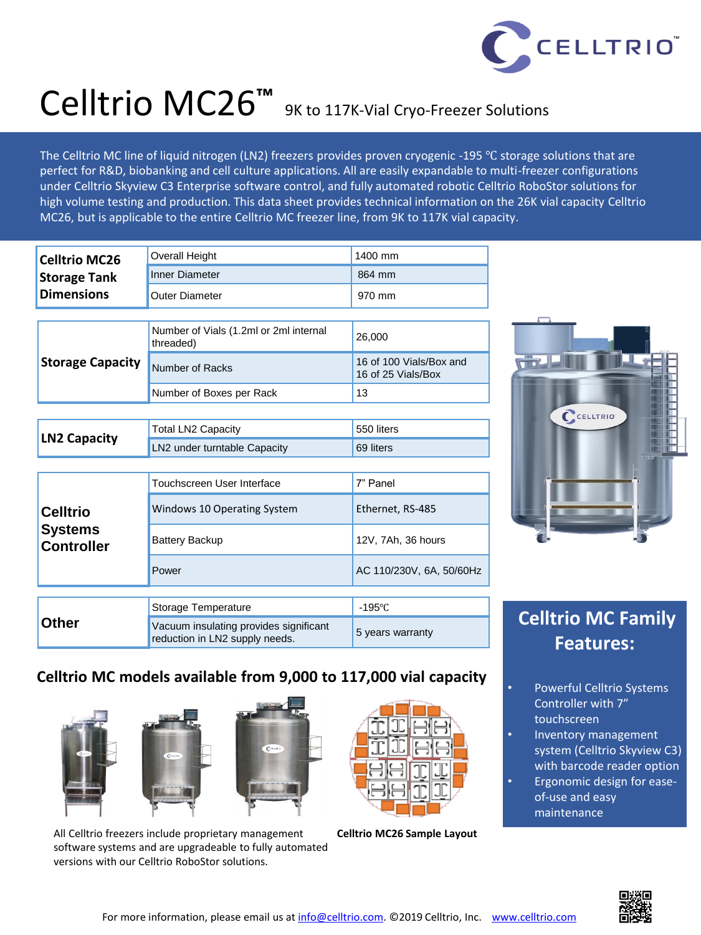

# Celltrio MC26**™** 9K to 117K-Vial Cryo-Freezer Solutions

The Celltrio MC line of liquid nitrogen (LN2) freezers provides proven cryogenic -195 ℃ storage solutions that are perfect for R&D, biobanking and cell culture applications. All are easily expandable to multi-freezer configurations under Celltrio Skyview C3 Enterprise software control, and fully automated robotic Celltrio RoboStor solutions for high volume testing and production. This data sheet provides technical information on the 26K vial capacity Celltrio MC26, but is applicable to the entire Celltrio MC freezer line, from 9K to 117K vial capacity.

| <b>Celltrio MC26</b><br><b>Storage Tank</b><br><b>Dimensions</b> | <b>Overall Height</b>                                                    | 1400 mm                                       |
|------------------------------------------------------------------|--------------------------------------------------------------------------|-----------------------------------------------|
|                                                                  | <b>Inner Diameter</b>                                                    | 864 mm                                        |
|                                                                  | <b>Outer Diameter</b>                                                    | 970 mm                                        |
|                                                                  |                                                                          |                                               |
| <b>Storage Capacity</b>                                          | Number of Vials (1.2ml or 2ml internal<br>threaded)                      | 26,000                                        |
|                                                                  | Number of Racks                                                          | 16 of 100 Vials/Box and<br>16 of 25 Vials/Box |
|                                                                  | Number of Boxes per Rack                                                 | 13                                            |
|                                                                  |                                                                          |                                               |
| <b>LN2 Capacity</b>                                              | <b>Total LN2 Capacity</b>                                                | 550 liters                                    |
|                                                                  | LN2 under turntable Capacity                                             | 69 liters                                     |
|                                                                  |                                                                          |                                               |
| <b>Celltrio</b><br>Systems<br><b>Controller</b>                  | Touchscreen User Interface                                               | 7" Panel                                      |
|                                                                  | Windows 10 Operating System                                              | Ethernet, RS-485                              |
|                                                                  | <b>Battery Backup</b>                                                    | 12V, 7Ah, 36 hours                            |
|                                                                  | Power                                                                    | AC 110/230V, 6A, 50/60Hz                      |
|                                                                  |                                                                          |                                               |
| Other                                                            | Storage Temperature                                                      | $-195^{\circ}$ C                              |
|                                                                  | Vacuum insulating provides significant<br>reduction in LN2 supply needs. | 5 years warranty                              |



### **Celltrio MC Family Features:**

### **Celltrio MC models available from 9,000 to 117,000 vial capacity**







All Celltrio freezers include proprietary management **Celltrio MC26 Sample Layout** software systems and are upgradeable to fully automated versions with our Celltrio RoboStor solutions.



- Powerful Celltrio Systems Controller with 7" touchscreen
- Inventory management system (Celltrio Skyview C3) with barcode reader option
- Ergonomic design for easeof-use and easy maintenance